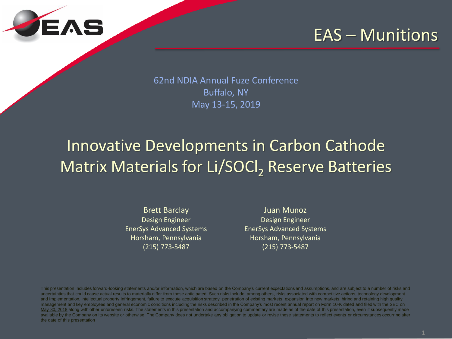

### EAS – Munitions

62nd NDIA Annual Fuze Conference Buffalo, NY May 13-15, 2019

# Innovative Developments in Carbon Cathode Matrix Materials for Li/SOCl<sub>2</sub> Reserve Batteries

Brett Barclay Design Engineer EnerSys Advanced Systems Horsham, Pennsylvania (215) 773-5487

Juan Munoz Design Engineer EnerSys Advanced Systems Horsham, Pennsylvania (215) 773-5487

This presentation includes forward-looking statements and/or information, which are based on the Company's current expectations and assumptions, and are subject to a number of risks and uncertainties that could cause actual results to materially differ from those anticipated. Such risks include, among others, risks associated with competitive actions, technology development and implementation, intellectual property infringement, failure to execute acquisition strategy, penetration of existing markets, expansion into new markets, hiring and retaining high quality management and key employees and general economic conditions including the risks described in the Company's most recent annual report on Form 10-K dated and filed with the SEC on May 30, 2018 along with other unforeseen risks. The statements in this presentation and accompanying commentary are made as of the date of this presentation, even if subsequently made available by the Company on its website or otherwise. The Company does not undertake any obligation to update or revise these statements to reflect events or circumstances occurring after the date of this presentation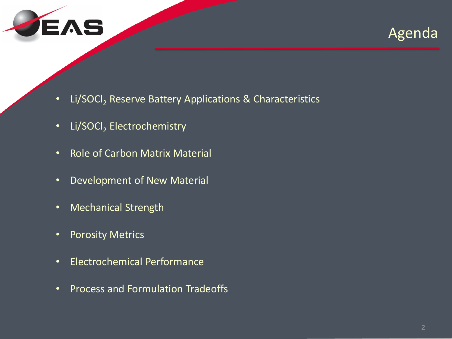



- Li/SOCI<sub>2</sub> Reserve Battery Applications & Characteristics
- Li/SOCl<sub>2</sub> Electrochemistry
- Role of Carbon Matrix Material
- Development of New Material
- Mechanical Strength
- Porosity Metrics
- Electrochemical Performance
- Process and Formulation Tradeoffs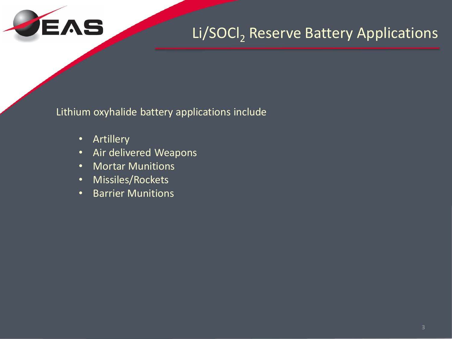

### Li/SOCl<sub>2</sub> Reserve Battery Applications

Lithium oxyhalide battery applications include

- Artillery
- Air delivered Weapons
- Mortar Munitions
- Missiles/Rockets
- Barrier Munitions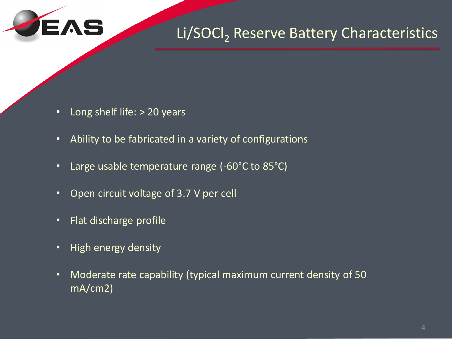

### Li/SOCI, Reserve Battery Characteristics

- Long shelf life: > 20 years
- Ability to be fabricated in a variety of configurations
- Large usable temperature range (-60°C to 85°C)
- Open circuit voltage of 3.7 V per cell
- Flat discharge profile
- High energy density
- Moderate rate capability (typical maximum current density of 50 mA/cm2)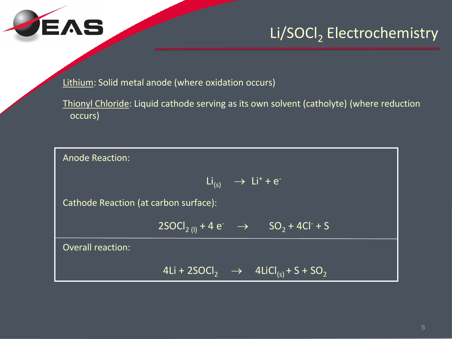

### Li/SOCl<sub>2</sub> Electrochemistry

Lithium: Solid metal anode (where oxidation occurs)

Thionyl Chloride: Liquid cathode serving as its own solvent (catholyte) (where reduction occurs)

Anode Reaction:  $Li_{(s)}$   $\rightarrow$   $Li^{+} + e^{-}$ Cathode Reaction (at carbon surface):  $2SOCl_{2 (l)} + 4 e^- \rightarrow SO_2 + 4Cl^+ + S$ Overall reaction: 4Li + 2SOCl<sub>2</sub>  $\rightarrow$  4LiCl<sub>(s)</sub> + S + SO<sub>2</sub>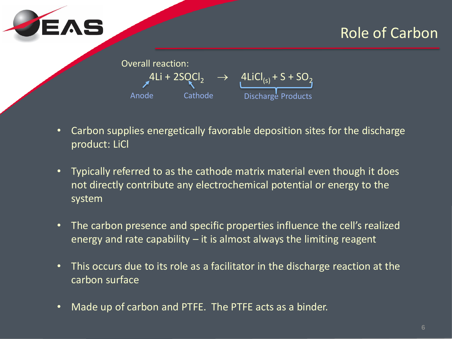

### Role of Carbon

| <b>Overall reaction:</b> |                |                                                          |  |  |  |  |
|--------------------------|----------------|----------------------------------------------------------|--|--|--|--|
|                          | $4Li + 2SQCl2$ | $\rightarrow$ 4LiCl <sub>(s)</sub> + S + SO <sub>2</sub> |  |  |  |  |
| Anode                    | Cathode        | Discharge Products                                       |  |  |  |  |

- Carbon supplies energetically favorable deposition sites for the discharge product: LiCl
- Typically referred to as the cathode matrix material even though it does not directly contribute any electrochemical potential or energy to the system
- The carbon presence and specific properties influence the cell's realized energy and rate capability – it is almost always the limiting reagent
- This occurs due to its role as a facilitator in the discharge reaction at the carbon surface
- Made up of carbon and PTFE. The PTFE acts as a binder.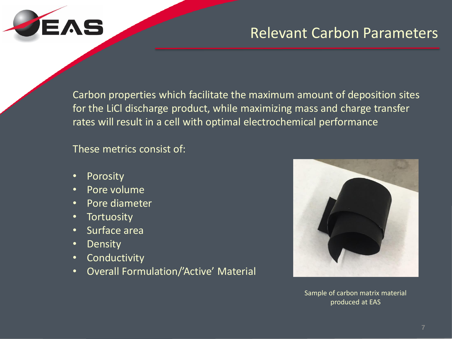

### Relevant Carbon Parameters

Carbon properties which facilitate the maximum amount of deposition sites for the LiCl discharge product, while maximizing mass and charge transfer rates will result in a cell with optimal electrochemical performance

These metrics consist of:

- Porosity
- Pore volume
- Pore diameter
- Tortuosity
- Surface area
- Density
- Conductivity
- Overall Formulation/'Active' Material



Sample of carbon matrix material produced at EAS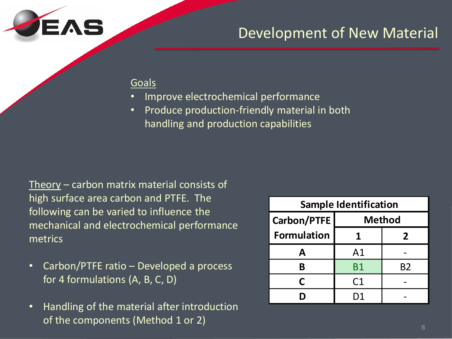

### Development of New Material

#### Goals

- Improve electrochemical performance
- Produce production-friendly material in both handling and production capabilities

Theory – carbon matrix material consists of high surface area carbon and PTFE. The following can be varied to influence the mechanical and electrochemical performance metrics

- Carbon/PTFE ratio Developed a process for 4 formulations (A, B, C, D)
- Handling of the material after introduction of the components (Method 1 or 2)

| <b>Sample Identification</b> |                |    |  |  |  |
|------------------------------|----------------|----|--|--|--|
| <b>Carbon/PTFE</b>           | <b>Method</b>  |    |  |  |  |
| <b>Formulation</b>           |                | 2  |  |  |  |
| А                            | A <sub>1</sub> |    |  |  |  |
| B                            | <b>B1</b>      | B2 |  |  |  |
| C                            | C <sub>1</sub> |    |  |  |  |
|                              | D1             |    |  |  |  |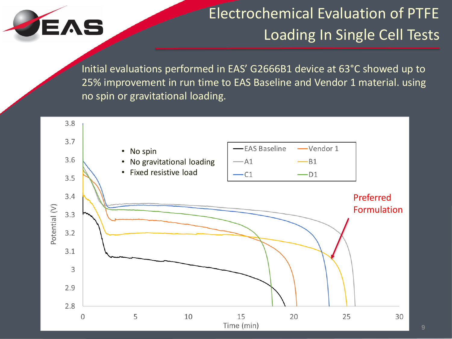

# Electrochemical Evaluation of PTFE Loading In Single Cell Tests

Initial evaluations performed in EAS' G2666B1 device at 63°C showed up to 25% improvement in run time to EAS Baseline and Vendor 1 material. using no spin or gravitational loading.

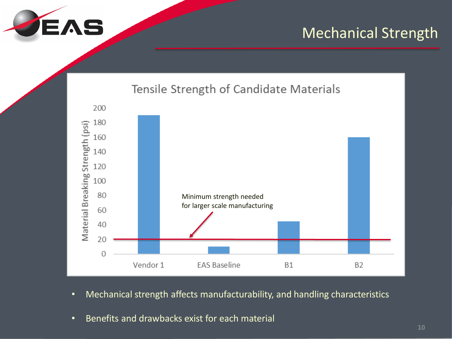

### Mechanical Strength



- Mechanical strength affects manufacturability, and handling characteristics
- Benefits and drawbacks exist for each material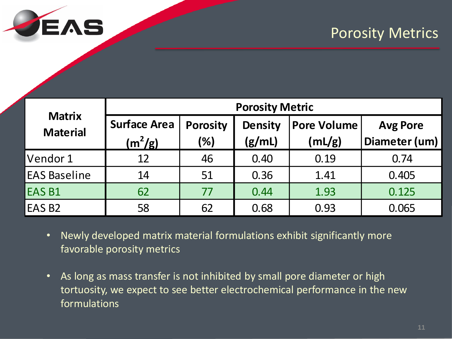

### Porosity Metrics

| <b>Matrix</b><br><b>Material</b>                                                                                                                                                                                                                                                                          | <b>Porosity Metric</b> |                 |                |                    |                 |  |  |  |
|-----------------------------------------------------------------------------------------------------------------------------------------------------------------------------------------------------------------------------------------------------------------------------------------------------------|------------------------|-----------------|----------------|--------------------|-----------------|--|--|--|
|                                                                                                                                                                                                                                                                                                           | <b>Surface Area</b>    | <b>Porosity</b> | <b>Density</b> | <b>Pore Volume</b> | <b>Avg Pore</b> |  |  |  |
|                                                                                                                                                                                                                                                                                                           | $(m^2/g)$              | (%)             | (g/mL)         | (mL/g)             | Diameter (um)   |  |  |  |
| Vendor 1                                                                                                                                                                                                                                                                                                  | 12                     | 46              | 0.40           | 0.19               | 0.74            |  |  |  |
| <b>EAS Baseline</b>                                                                                                                                                                                                                                                                                       | 14                     | 51              | 0.36           | 1.41               | 0.405           |  |  |  |
| <b>EAS B1</b>                                                                                                                                                                                                                                                                                             | 62                     | 77              | 0.44           | 1.93               | 0.125           |  |  |  |
| <b>EAS B2</b>                                                                                                                                                                                                                                                                                             | 58                     | 62              | 0.68           | 0.93               | 0.065           |  |  |  |
| Newly developed matrix material formulations exhibit significantly more<br>$\bullet$<br>favorable porosity metrics<br>As long as mass transfer is not inhibited by small pore diameter or high<br>$\bullet$<br>tortuosity, we expect to see better electrochemical performance in the new<br>formulations |                        |                 |                |                    |                 |  |  |  |

- Newly developed matrix material formulations exhibit significantly more favorable porosity metrics
- As long as mass transfer is not inhibited by small pore diameter or high tortuosity, we expect to see better electrochemical performance in the new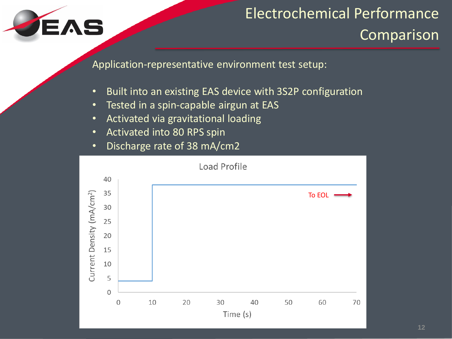

# Electrochemical Performance

Comparison

Application-representative environment test setup:

- Built into an existing EAS device with 3S2P configuration
- Tested in a spin-capable airgun at EAS
- Activated via gravitational loading
- Activated into 80 RPS spin
- Discharge rate of 38 mA/cm2

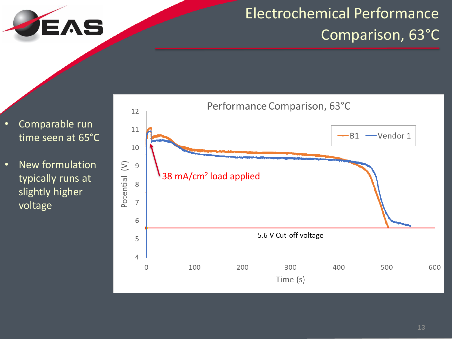

# Electrochemical Performance Comparison, 63°C

- Comparable run time seen at 65°C
- New formulation typically runs at slightly higher voltage

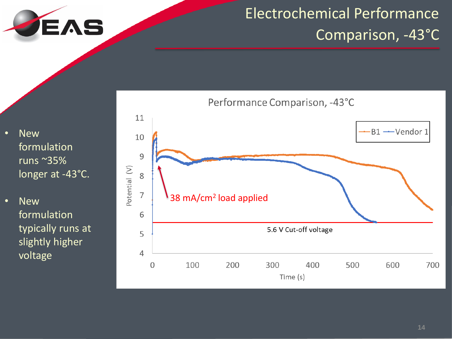

# Electrochemical Performance Comparison, -43°C

**New** formulation runs ~35% longer at -43°C.

• New formulation typically runs at slightly higher voltage

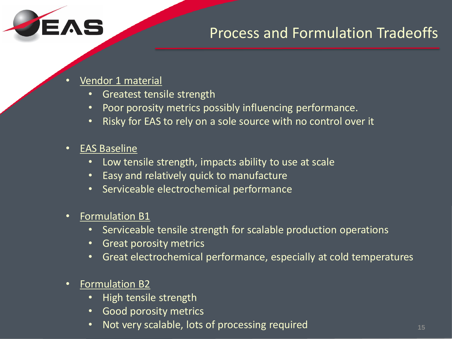

• Vendor 1 material

EAS

- Greatest tensile strength
- Poor porosity metrics possibly influencing performance.
- Risky for EAS to rely on a sole source with no control over it
- EAS Baseline
	- Low tensile strength, impacts ability to use at scale
	- Easy and relatively quick to manufacture
	- Serviceable electrochemical performance
- Formulation B1
	- Serviceable tensile strength for scalable production operations
	- Great porosity metrics
	- Great electrochemical performance, especially at cold temperatures
- Formulation B2
	- High tensile strength
	- Good porosity metrics
	- Not very scalable, lots of processing required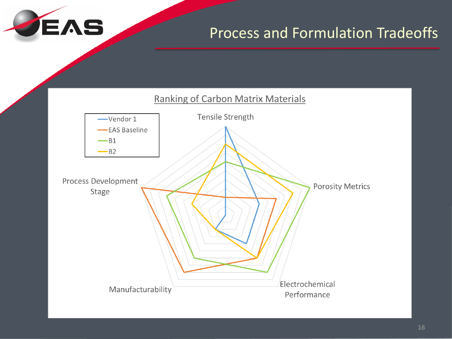

### Process and Formulation Tradeoffs